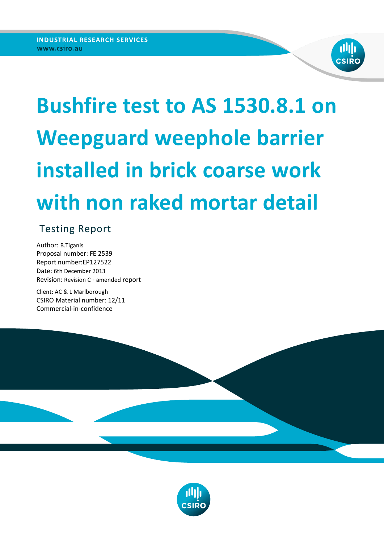

# **Bushfire test to AS 1530.8.1 on Weepguard weephole barrier installed in brick coarse work with non raked mortar detail**

## Testing Report

Author: B.Tiganis Proposal number: FE 2539 Report number:EP127522 Date: 6th December 2013 Revision: Revision C - amended report

Client: AC & L Marlborough CSIRO Material number: 12/11 Commercial-in-confidence



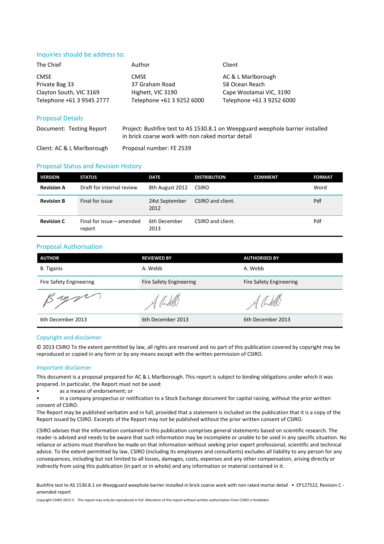#### Inquiries should be address to:

| The Chief                 | Author                    | Client                    |
|---------------------------|---------------------------|---------------------------|
| <b>CMSE</b>               | <b>CMSE</b>               | AC & L Marlborough        |
| Private Bag 33            | 37 Graham Road            | 58 Ocean Reach            |
| Clayton South, VIC 3169   | Highett, VIC 3190         | Cape Woolamai VIC, 3190   |
| Telephone +61 3 9545 2777 | Telephone +61 3 9252 6000 | Telephone +61 3 9252 6000 |
| <b>Proposal Details</b>   |                           |                           |

### Document: Testing Report Project: Bushfire test to AS 1530.8.1 on Weepguard weephole barrier installed in brick coarse work with non raked mortar detail

Client: AC & L Marlborough Proposal number: FE 2539

#### Proposal Status and Revision History

| <b>VERSION</b>    | <b>STATUS</b>                       | <b>DATE</b>            | <b>DISTRIBUTION</b> | <b>COMMENT</b> | <b>FORMAT</b> |
|-------------------|-------------------------------------|------------------------|---------------------|----------------|---------------|
| <b>Revision A</b> | Draft for internal review           | 8th August 2012        | <b>CSIRO</b>        |                | Word          |
| <b>Revision B</b> | Final for issue                     | 24st September<br>2012 | CSIRO and client.   |                | Pdf           |
| <b>Revision C</b> | Final for issue - amended<br>report | 6th December<br>2013   | CSIRO and client.   |                | Pdf           |

#### Proposal Authorisation

| <b>AUTHOR</b>                  | <b>REVIEWED BY</b>             | <b>AUTHORISED BY</b>           |
|--------------------------------|--------------------------------|--------------------------------|
| <b>B.</b> Tiganis              | A. Webb                        | A. Webb                        |
| <b>Fire Safety Engineering</b> | <b>Fire Safety Engineering</b> | <b>Fire Safety Engineering</b> |
| is upper                       |                                | $-\sqrt{\frac{1}{1}}$          |
| 6th December 2013              | 6th December 2013              | 6th December 2013              |

#### Copyright and disclaimer

© 2013 CSIRO To the extent permitted by law, all rights are reserved and no part of this publication covered by copyright may be reproduced or copied in any form or by any means except with the written permission of CSIRO.

#### Important disclaimer

This document is a proposal prepared for AC & L Marlborough. This report is subject to binding obligations under which it was prepared. In particular, the Report must not be used:

- as a means of endorsement; or
- in a company prospectus or notification to a Stock Exchange document for capital raising, without the prior written consent of CSIRO.

The Report may be published verbatim and in full, provided that a statement is included on the publication that it is a copy of the Report issued by CSIRO. Excerpts of the Report may not be published without the prior written consent of CSIRO.

CSIRO advises that the information contained in this publication comprises general statements based on scientific research. The reader is advised and needs to be aware that such information may be incomplete or unable to be used in any specific situation. No reliance or actions must therefore be made on that information without seeking prior expert professional, scientific and technical advice. To the extent permitted by law, CSIRO (including its employees and consultants) excludes all liability to any person for any consequences, including but not limited to all losses, damages, costs, expenses and any other compensation, arising directly or indirectly from using this publication (in part or in whole) and any information or material contained in it.

Bushfire test to AS 1530.8.1 on Weepguard weephole barrier installed in brick coarse work with non raked mortar detail • EP127522, Revision C amended report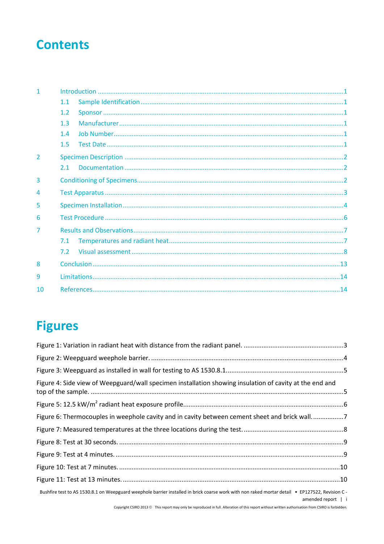# **Contents**

| $\mathbf{1}$   |     |  |
|----------------|-----|--|
|                | 1.1 |  |
|                | 1.2 |  |
|                | 1.3 |  |
|                | 1.4 |  |
|                | 1.5 |  |
| $\overline{2}$ |     |  |
|                | 2.1 |  |
| 3              |     |  |
| 4              |     |  |
| 5              |     |  |
| 6              |     |  |
| 7              |     |  |
|                | 7.1 |  |
|                | 7.2 |  |
| 8              |     |  |
| 9              |     |  |
| 10             |     |  |

# **Figures**

| Figure 4: Side view of Weepguard/wall specimen installation showing insulation of cavity at the end and                                                               |  |
|-----------------------------------------------------------------------------------------------------------------------------------------------------------------------|--|
|                                                                                                                                                                       |  |
| Figure 6: Thermocouples in weephole cavity and in cavity between cement sheet and brick wall7                                                                         |  |
|                                                                                                                                                                       |  |
|                                                                                                                                                                       |  |
|                                                                                                                                                                       |  |
|                                                                                                                                                                       |  |
|                                                                                                                                                                       |  |
| Bushfire test to AS 1530.8.1 on Weepguard weephole barrier installed in brick coarse work with non raked mortar detail • EP127522, Revision C -<br>amended report   i |  |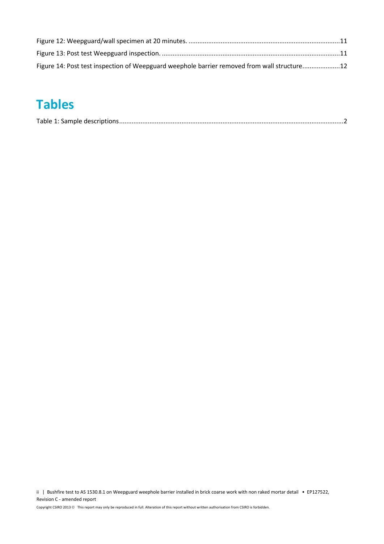| Figure 14: Post test inspection of Weepguard weephole barrier removed from wall structure12 |  |
|---------------------------------------------------------------------------------------------|--|

# **Tables**

|--|

ii | Bushfire test to AS 1530.8.1 on Weepguard weephole barrier installed in brick coarse work with non raked mortar detail • EP127522, Revision C - amended report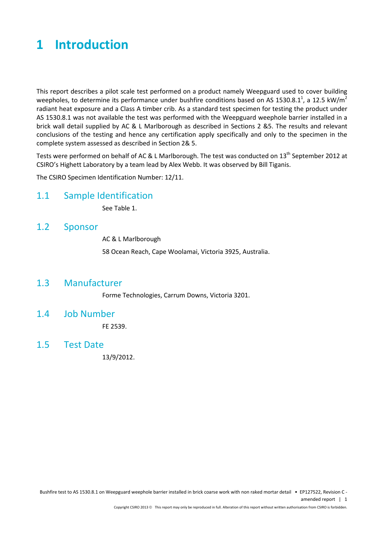### <span id="page-4-0"></span>**1 Introduction**

This report describes a pilot scale test performed on a product namely Weepguard used to cover building weepholes, to determine its performance under bushfire conditions based on AS 1530.8.1<sup>1</sup>, a 12.5 kW/m<sup>2</sup> radiant heat exposure and a Class A timber crib. As a standard test specimen for testing the product under AS 1530.8.1 was not available the test was performed with the Weepguard weephole barrier installed in a brick wall detail supplied by AC & L Marlborough as described in Sections 2 &5. The results and relevant conclusions of the testing and hence any certification apply specifically and only to the specimen in the complete system assessed as described in Section 2& 5.

Tests were performed on behalf of AC & L Marlborough. The test was conducted on  $13<sup>th</sup>$  September 2012 at CSIRO's Highett Laboratory by a team lead by Alex Webb. It was observed by Bill Tiganis.

The CSIRO Specimen Identification Number: 12/11.

### <span id="page-4-1"></span>1.1 Sample Identification

See Table 1.

### <span id="page-4-2"></span>1.2 Sponsor

AC & L Marlborough

58 Ocean Reach, Cape Woolamai, Victoria 3925, Australia.

### <span id="page-4-3"></span>1.3 Manufacturer

Forme Technologies, Carrum Downs, Victoria 3201.

### <span id="page-4-4"></span>1.4 Job Number

FE 2539.

### <span id="page-4-5"></span>1.5 Test Date

13/9/2012.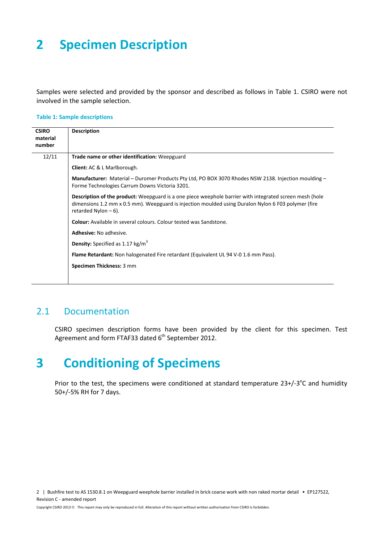# <span id="page-5-0"></span>**2 Specimen Description**

Samples were selected and provided by the sponsor and described as follows in [Table 1.](#page-5-3) CSIRO were not involved in the sample selection.

#### <span id="page-5-3"></span>**Table 1: Sample descriptions**

| <b>CSIRO</b><br>material<br>number | <b>Description</b>                                                                                                                                                                                                                       |
|------------------------------------|------------------------------------------------------------------------------------------------------------------------------------------------------------------------------------------------------------------------------------------|
| 12/11                              | Trade name or other identification: Weepguard                                                                                                                                                                                            |
|                                    | Client: AC & L Marlborough.                                                                                                                                                                                                              |
|                                    | Manufacturer: Material – Duromer Products Pty Ltd, PO BOX 3070 Rhodes NSW 2138. Injection moulding –<br>Forme Technologies Carrum Downs Victoria 3201.                                                                                   |
|                                    | Description of the product: Weepguard is a one piece weephole barrier with integrated screen mesh (hole<br>dimensions 1.2 mm x 0.5 mm). Weepguard is injection moulded using Duralon Nylon 6 F03 polymer (fire<br>retarded Nylon $-6$ ). |
|                                    | <b>Colour:</b> Available in several colours. Colour tested was Sandstone.                                                                                                                                                                |
|                                    | Adhesive: No adhesive.                                                                                                                                                                                                                   |
|                                    | <b>Density:</b> Specified as 1.17 $kg/m3$                                                                                                                                                                                                |
|                                    | <b>Flame Retardant:</b> Non halogenated Fire retardant (Equivalent UL 94 V-0 1.6 mm Pass).                                                                                                                                               |
|                                    | Specimen Thickness: 3 mm                                                                                                                                                                                                                 |
|                                    |                                                                                                                                                                                                                                          |

### <span id="page-5-1"></span>2.1 Documentation

CSIRO specimen description forms have been provided by the client for this specimen. Test Agreement and form FTAF33 dated 6<sup>th</sup> September 2012.

### <span id="page-5-2"></span>**3 Conditioning of Specimens**

Prior to the test, the specimens were conditioned at standard temperature  $23+/-3$ °C and humidity 50+/-5% RH for 7 days.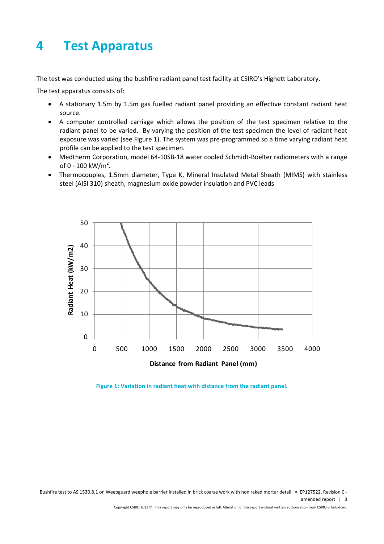# <span id="page-6-0"></span>**4 Test Apparatus**

The test was conducted using the bushfire radiant panel test facility at CSIRO's Highett Laboratory.

The test apparatus consists of:

- A stationary 1.5m by 1.5m gas fuelled radiant panel providing an effective constant radiant heat source.
- A computer controlled carriage which allows the position of the test specimen relative to the radiant panel to be varied. By varying the position of the test specimen the level of radiant heat exposure was varied (see Figure 1). The system was pre-programmed so a time varying radiant heat profile can be applied to the test specimen.
- Medtherm Corporation, model 64-10SB-18 water cooled Schmidt-Boelter radiometers with a range of 0 - 100 kW/ $m^2$ .
- Thermocouples, 1.5mm diameter, Type K, Mineral Insulated Metal Sheath (MIMS) with stainless steel (AISI 310) sheath, magnesium oxide powder insulation and PVC leads



<span id="page-6-1"></span>**Figure 1: Variation in radiant heat with distance from the radiant panel.**

Bushfire test to AS 1530.8.1 on Weepguard weephole barrier installed in brick coarse work with non raked mortar detail • EP127522, Revision C amended report | 3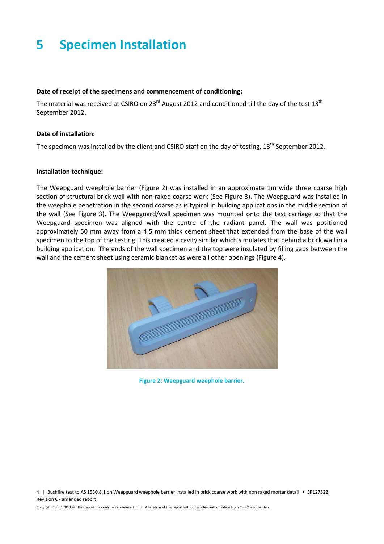# <span id="page-7-0"></span>**5 Specimen Installation**

#### **Date of receipt of the specimens and commencement of conditioning:**

The material was received at CSIRO on 23 $^{rd}$  August 2012 and conditioned till the day of the test 13<sup>th</sup> September 2012.

#### **Date of installation:**

The specimen was installed by the client and CSIRO staff on the day of testing, 13<sup>th</sup> September 2012.

#### **Installation technique:**

The Weepguard weephole barrier (Figure 2) was installed in an approximate 1m wide three coarse high section of structural brick wall with non raked coarse work (See Figure 3). The Weepguard was installed in the weephole penetration in the second coarse as is typical in building applications in the middle section of the wall (See Figure 3). The Weepguard/wall specimen was mounted onto the test carriage so that the Weepguard specimen was aligned with the centre of the radiant panel. The wall was positioned approximately 50 mm away from a 4.5 mm thick cement sheet that extended from the base of the wall specimen to the top of the test rig. This created a cavity similar which simulates that behind a brick wall in a building application. The ends of the wall specimen and the top were insulated by filling gaps between the wall and the cement sheet using ceramic blanket as were all other openings (Figure 4).

<span id="page-7-1"></span>

**Figure 2: Weepguard weephole barrier.**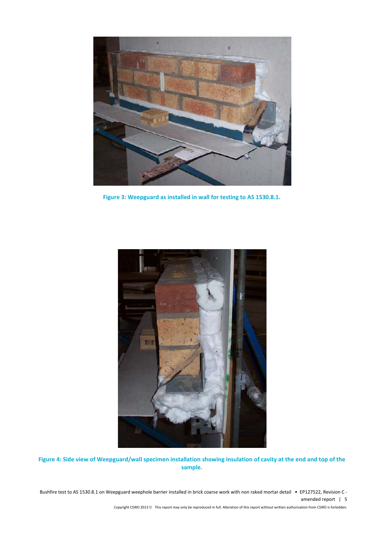

**Figure 3: Weepguard as installed in wall for testing to AS 1530.8.1.**

<span id="page-8-0"></span>

<span id="page-8-1"></span>**Figure 4: Side view of Weepguard/wall specimen installation showing insulation of cavity at the end and top of the sample.**

Bushfire test to AS 1530.8.1 on Weepguard weephole barrier installed in brick coarse work with non raked mortar detail • EP127522, Revision C amended report | 5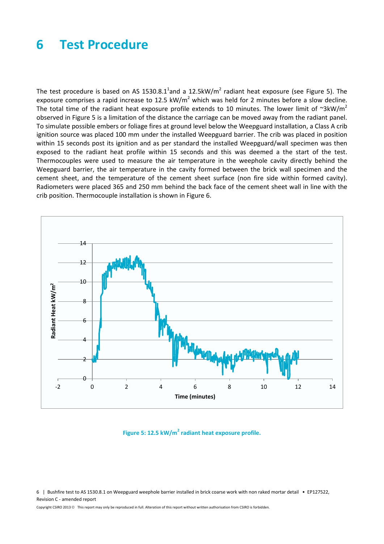### <span id="page-9-0"></span>**6 Test Procedure**

The test procedure is based on AS 1530.8.1<sup>1</sup>and a 12.5kW/m<sup>2</sup> radiant heat exposure (see [Figure 5\)](#page-9-1). The exposure comprises a rapid increase to 12.5 kW/ $m^2$  which was held for 2 minutes before a slow decline. The total time of the radiant heat exposure profile extends to 10 minutes. The lower limit of  $\gamma$ 3kW/m<sup>2</sup> observed in Figure 5 is a limitation of the distance the carriage can be moved away from the radiant panel. To simulate possible embers or foliage fires at ground level below the Weepguard installation, a Class A crib ignition source was placed 100 mm under the installed Weepguard barrier. The crib was placed in position within 15 seconds post its ignition and as per standard the installed Weepguard/wall specimen was then exposed to the radiant heat profile within 15 seconds and this was deemed a the start of the test. Thermocouples were used to measure the air temperature in the weephole cavity directly behind the Weepguard barrier, the air temperature in the cavity formed between the brick wall specimen and the cement sheet, and the temperature of the cement sheet surface (non fire side within formed cavity). Radiometers were placed 365 and 250 mm behind the back face of the cement sheet wall in line with the crib position. Thermocouple installation is shown in Figure 6.



**Figure 5: 12.5 kW/m<sup>2</sup> radiant heat exposure profile.**

<span id="page-9-1"></span>6 | Bushfire test to AS 1530.8.1 on Weepguard weephole barrier installed in brick coarse work with non raked mortar detail • EP127522, Revision C - amended report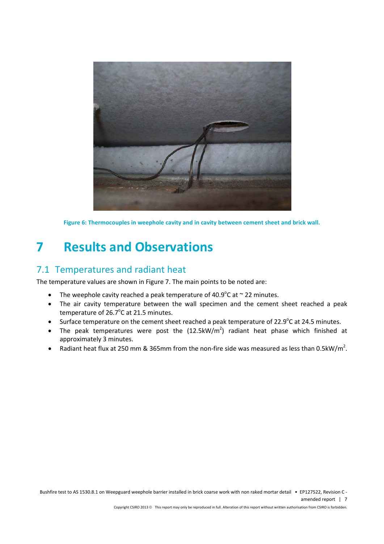

**Figure 6: Thermocouples in weephole cavity and in cavity between cement sheet and brick wall.**

# <span id="page-10-2"></span><span id="page-10-0"></span>**7 Results and Observations**

### <span id="page-10-1"></span>7.1 Temperatures and radiant heat

The temperature values are shown in Figure 7. The main points to be noted are:

- The weephole cavity reached a peak temperature of 40.9°C at  $\sim$  22 minutes.
- The air cavity temperature between the wall specimen and the cement sheet reached a peak temperature of  $26.7^{\circ}$ C at 21.5 minutes.
- Surface temperature on the cement sheet reached a peak temperature of 22.9°C at 24.5 minutes.
- The peak temperatures were post the  $(12.5 \text{kW/m}^2)$  radiant heat phase which finished at approximately 3 minutes.
- Radiant heat flux at 250 mm & 365mm from the non-fire side was measured as less than 0.5kW/m<sup>2</sup>.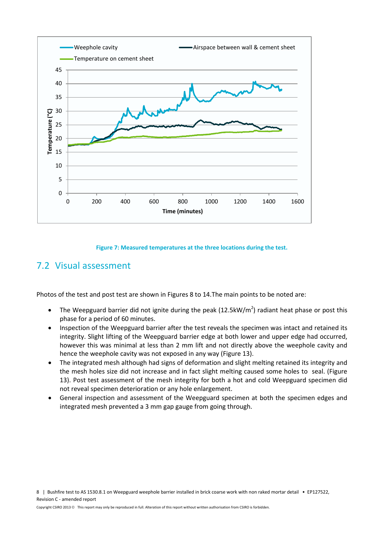

#### **Figure 7: Measured temperatures at the three locations during the test.**

### <span id="page-11-1"></span><span id="page-11-0"></span>7.2 Visual assessment

Photos of the test and post test are shown in Figures 8 to 14.The main points to be noted are:

- The Weepguard barrier did not ignite during the peak (12.5kW/m<sup>2</sup>) radiant heat phase or post this phase for a period of 60 minutes.
- Inspection of the Weepguard barrier after the test reveals the specimen was intact and retained its integrity. Slight lifting of the Weepguard barrier edge at both lower and upper edge had occurred, however this was minimal at less than 2 mm lift and not directly above the weephole cavity and hence the weephole cavity was not exposed in any way (Figure 13).
- The integrated mesh although had signs of deformation and slight melting retained its integrity and the mesh holes size did not increase and in fact slight melting caused some holes to seal. (Figure 13). Post test assessment of the mesh integrity for both a hot and cold Weepguard specimen did not reveal specimen deterioration or any hole enlargement.
- General inspection and assessment of the Weepguard specimen at both the specimen edges and integrated mesh prevented a 3 mm gap gauge from going through.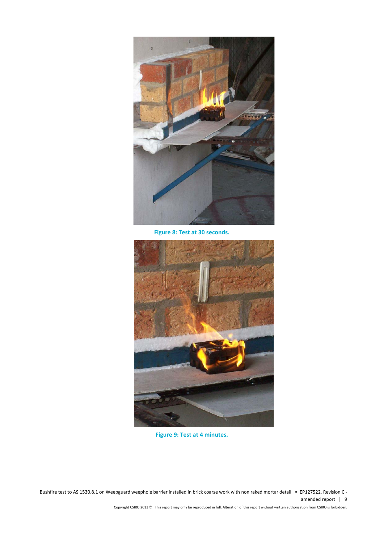

**Figure 8: Test at 30 seconds.**

<span id="page-12-0"></span>

**Figure 9: Test at 4 minutes.**

<span id="page-12-1"></span>Bushfire test to AS 1530.8.1 on Weepguard weephole barrier installed in brick coarse work with non raked mortar detail • EP127522, Revision C amended report | 9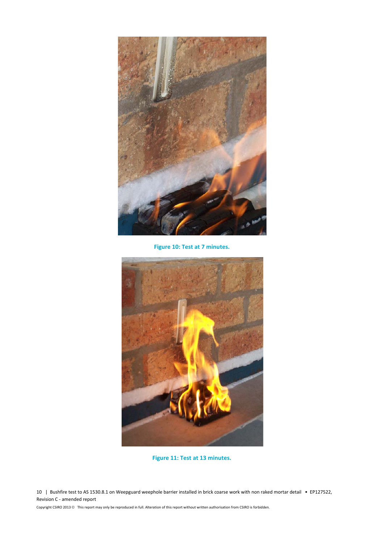

**Figure 10: Test at 7 minutes.**

<span id="page-13-0"></span>

**Figure 11: Test at 13 minutes.**

<span id="page-13-1"></span>10 | Bushfire test to AS 1530.8.1 on Weepguard weephole barrier installed in brick coarse work with non raked mortar detail • EP127522, Revision C - amended report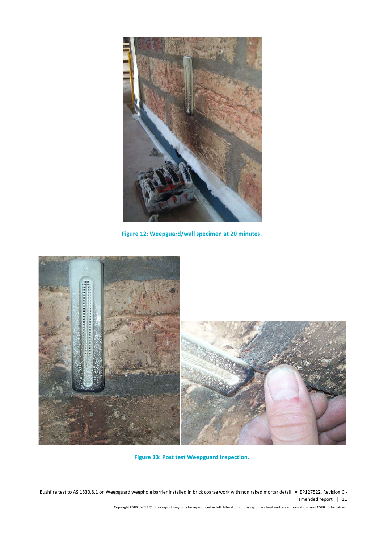

**Figure 12: Weepguard/wall specimen at 20 minutes.**

<span id="page-14-0"></span>

**Figure 13: Post test Weepguard inspection.**

<span id="page-14-1"></span>Bushfire test to AS 1530.8.1 on Weepguard weephole barrier installed in brick coarse work with non raked mortar detail • EP127522, Revision C amended report | 11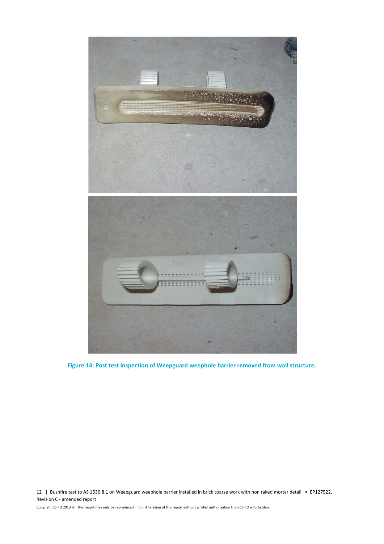

**Figure 14: Post test inspection of Weepguard weephole barrier removed from wall structure.**

<span id="page-15-0"></span>12 | Bushfire test to AS 1530.8.1 on Weepguard weephole barrier installed in brick coarse work with non raked mortar detail • EP127522, Revision C - amended report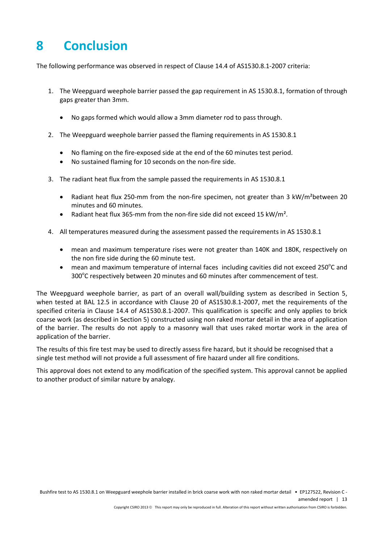# <span id="page-16-0"></span>**8 Conclusion**

The following performance was observed in respect of Clause 14.4 of AS1530.8.1-2007 criteria:

- 1. The Weepguard weephole barrier passed the gap requirement in AS 1530.8.1, formation of through gaps greater than 3mm.
	- No gaps formed which would allow a 3mm diameter rod to pass through.
- 2. The Weepguard weephole barrier passed the flaming requirements in AS 1530.8.1
	- No flaming on the fire-exposed side at the end of the 60 minutes test period.
	- No sustained flaming for 10 seconds on the non-fire side.
- 3. The radiant heat flux from the sample passed the requirements in AS 1530.8.1
	- Radiant heat flux 250-mm from the non-fire specimen, not greater than 3 kW/m<sup>2</sup>between 20 minutes and 60 minutes.
	- Radiant heat flux 365-mm from the non-fire side did not exceed 15 kW/m².
- 4. All temperatures measured during the assessment passed the requirements in AS 1530.8.1
	- mean and maximum temperature rises were not greater than 140K and 180K, respectively on the non fire side during the 60 minute test.
	- mean and maximum temperature of internal faces including cavities did not exceed 250°C and 300°C respectively between 20 minutes and 60 minutes after commencement of test.

The Weepguard weephole barrier, as part of an overall wall/building system as described in Section 5, when tested at BAL 12.5 in accordance with Clause 20 of AS1530.8.1-2007, met the requirements of the specified criteria in Clause 14.4 of AS1530.8.1-2007. This qualification is specific and only applies to brick coarse work (as described in Section 5) constructed using non raked mortar detail in the area of application of the barrier. The results do not apply to a masonry wall that uses raked mortar work in the area of application of the barrier.

The results of this fire test may be used to directly assess fire hazard, but it should be recognised that a single test method will not provide a full assessment of fire hazard under all fire conditions.

This approval does not extend to any modification of the specified system. This approval cannot be applied to another product of similar nature by analogy.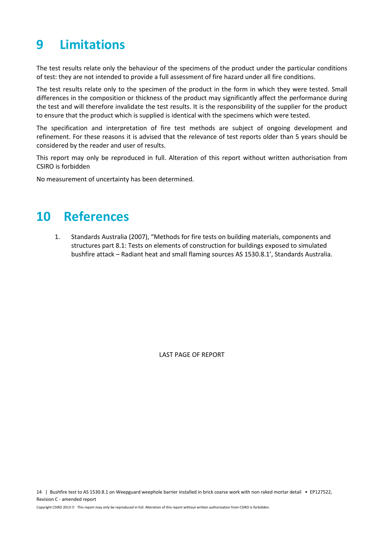# <span id="page-17-0"></span>**9 Limitations**

The test results relate only the behaviour of the specimens of the product under the particular conditions of test: they are not intended to provide a full assessment of fire hazard under all fire conditions.

The test results relate only to the specimen of the product in the form in which they were tested. Small differences in the composition or thickness of the product may significantly affect the performance during the test and will therefore invalidate the test results. It is the responsibility of the supplier for the product to ensure that the product which is supplied is identical with the specimens which were tested.

The specification and interpretation of fire test methods are subject of ongoing development and refinement. For these reasons it is advised that the relevance of test reports older than 5 years should be considered by the reader and user of results.

This report may only be reproduced in full. Alteration of this report without written authorisation from CSIRO is forbidden

No measurement of uncertainty has been determined.

### <span id="page-17-1"></span>**10 References**

1. Standards Australia (2007), "Methods for fire tests on building materials, components and structures part 8.1: Tests on elements of construction for buildings exposed to simulated bushfire attack – Radiant heat and small flaming sources AS 1530.8.1', Standards Australia.

LAST PAGE OF REPORT